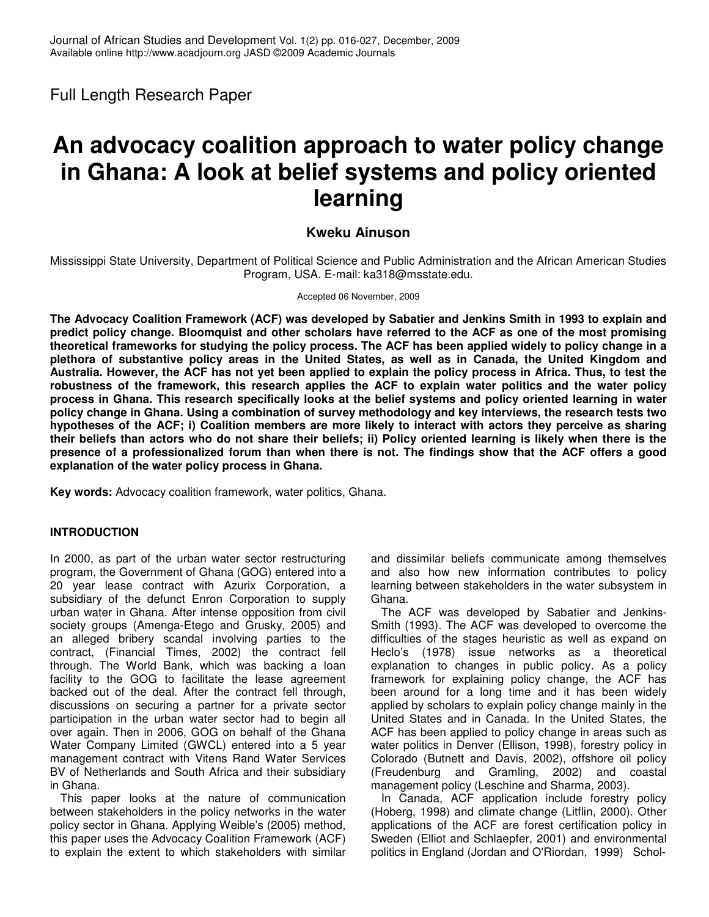Full Length Research Paper

# **An advocacy coalition approach to water policy change in Ghana: A look at belief systems and policy oriented learning**

# **Kweku Ainuson**

Mississippi State University, Department of Political Science and Public Administration and the African American Studies Program, USA. E-mail: ka318@msstate.edu.

#### Accepted 06 November, 2009

**The Advocacy Coalition Framework (ACF) was developed by Sabatier and Jenkins Smith in 1993 to explain and** predict policy change. Bloomguist and other scholars have referred to the ACF as one of the most promising theoretical frameworks for studying the policy process. The ACF has been applied widely to policy change in a plethora of substantive policy areas in the United States, as well as in Canada, the United Kingdom and Australia. However, the ACF has not yet been applied to explain the policy process in Africa. Thus, to test the **robustness of the framework, this research applies the ACF to explain water politics and the water policy** process in Ghana. This research specifically looks at the belief systems and policy oriented learning in water policy change in Ghana. Using a combination of survey methodology and key interviews, the research tests two hypotheses of the ACF; i) Coalition members are more likely to interact with actors they perceive as sharing their beliefs than actors who do not share their beliefs; ii) Policy oriented learning is likely when there is the presence of a professionalized forum than when there is not. The findings show that the ACF offers a good **explanation of the water policy process in Ghana.**

**Key words:** Advocacy coalition framework, water politics, Ghana.

# **INTRODUCTION**

In 2000, as part of the urban water sector restructuring program, the Government of Ghana (GOG) entered into a 20 year lease contract with Azurix Corporation, a subsidiary of the defunct Enron Corporation to supply urban water in Ghana. After intense opposition from civil society groups (Amenga-Etego and Grusky, 2005) and an alleged bribery scandal involving parties to the contract, (Financial Times, 2002) the contract fell through. The World Bank, which was backing a loan facility to the GOG to facilitate the lease agreement backed out of the deal. After the contract fell through, discussions on securing a partner for a private sector participation in the urban water sector had to begin all over again. Then in 2006, GOG on behalf of the Ghana Water Company Limited (GWCL) entered into a 5 year management contract with Vitens Rand Water Services BV of Netherlands and South Africa and their subsidiary in Ghana.

This paper looks at the nature of communication between stakeholders in the policy networks in the water policy sector in Ghana. Applying Weible's (2005) method, this paper uses the Advocacy Coalition Framework (ACF) to explain the extent to which stakeholders with similar

and dissimilar beliefs communicate among themselves and also how new information contributes to policy learning between stakeholders in the water subsystem in Ghana.

The ACF was developed by Sabatier and Jenkins-Smith (1993). The ACF was developed to overcome the difficulties of the stages heuristic as well as expand on Heclo's (1978) issue networks as a theoretical explanation to changes in public policy. As a policy framework for explaining policy change, the ACF has been around for a long time and it has been widely applied by scholars to explain policy change mainly in the United States and in Canada. In the United States, the ACF has been applied to policy change in areas such as water politics in Denver (Ellison, 1998), forestry policy in Colorado (Butnett and Davis, 2002), offshore oil policy (Freudenburg and Gramling, 2002) and coastal management policy (Leschine and Sharma, 2003).

In Canada, ACF application include forestry policy (Hoberg, 1998) and climate change (Litflin, 2000). Other applications of the ACF are forest certification policy in Sweden (Elliot and Schlaepfer, 2001) and environmental politics in England (Jordan and O'Riordan, 1999) Schol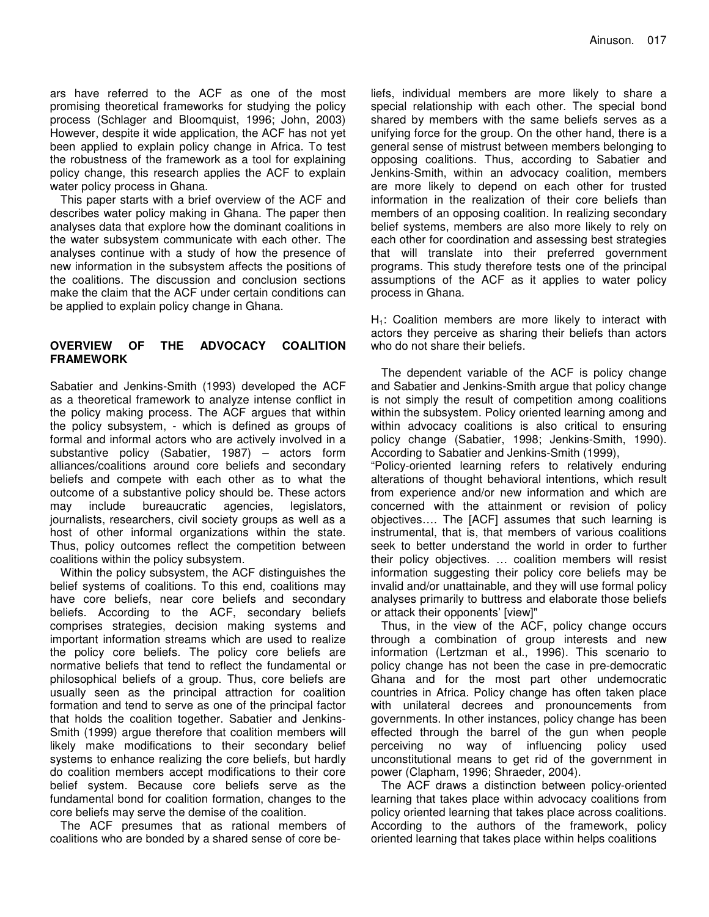ars have referred to the ACF as one of the most promising theoretical frameworks for studying the policy process (Schlager and Bloomquist, 1996; John, 2003) However, despite it wide application, the ACF has not yet been applied to explain policy change in Africa. To test the robustness of the framework as a tool for explaining policy change, this research applies the ACF to explain water policy process in Ghana.

This paper starts with a brief overview of the ACF and describes water policy making in Ghana. The paper then analyses data that explore how the dominant coalitions in the water subsystem communicate with each other. The analyses continue with a study of how the presence of new information in the subsystem affects the positions of the coalitions. The discussion and conclusion sections make the claim that the ACF under certain conditions can be applied to explain policy change in Ghana.

## **OVERVIEW OF THE ADVOCACY COALITION FRAMEWORK**

Sabatier and Jenkins-Smith (1993) developed the ACF as a theoretical framework to analyze intense conflict in the policy making process. The ACF argues that within the policy subsystem, - which is defined as groups of formal and informal actors who are actively involved in a substantive policy (Sabatier, 1987) – actors form alliances/coalitions around core beliefs and secondary beliefs and compete with each other as to what the outcome of a substantive policy should be. These actors<br>may include bureaucratic agencies, legislators, may include bureaucratic agencies, legislators, journalists, researchers, civil society groups as well as a host of other informal organizations within the state. Thus, policy outcomes reflect the competition between coalitions within the policy subsystem.

Within the policy subsystem, the ACF distinguishes the belief systems of coalitions. To this end, coalitions may have core beliefs, near core beliefs and secondary beliefs. According to the ACF, secondary beliefs comprises strategies, decision making systems and important information streams which are used to realize the policy core beliefs. The policy core beliefs are normative beliefs that tend to reflect the fundamental or philosophical beliefs of a group. Thus, core beliefs are usually seen as the principal attraction for coalition formation and tend to serve as one of the principal factor that holds the coalition together. Sabatier and Jenkins-Smith (1999) argue therefore that coalition members will likely make modifications to their secondary belief systems to enhance realizing the core beliefs, but hardly do coalition members accept modifications to their core belief system. Because core beliefs serve as the fundamental bond for coalition formation, changes to the core beliefs may serve the demise of the coalition.

The ACF presumes that as rational members of coalitions who are bonded by a shared sense of core be-

liefs, individual members are more likely to share a special relationship with each other. The special bond shared by members with the same beliefs serves as a unifying force for the group. On the other hand, there is a general sense of mistrust between members belonging to opposing coalitions. Thus, according to Sabatier and Jenkins-Smith, within an advocacy coalition, members are more likely to depend on each other for trusted information in the realization of their core beliefs than members of an opposing coalition. In realizing secondary belief systems, members are also more likely to rely on each other for coordination and assessing best strategies that will translate into their preferred government programs. This study therefore tests one of the principal assumptions of the ACF as it applies to water policy process in Ghana.

 $H<sub>1</sub>$ : Coalition members are more likely to interact with actors they perceive as sharing their beliefs than actors who do not share their beliefs.

The dependent variable of the ACF is policy change and Sabatier and Jenkins-Smith argue that policy change is not simply the result of competition among coalitions within the subsystem. Policy oriented learning among and within advocacy coalitions is also critical to ensuring policy change (Sabatier, 1998; Jenkins-Smith, 1990). According to Sabatier and Jenkins-Smith (1999),

"Policy-oriented learning refers to relatively enduring alterations of thought behavioral intentions, which result from experience and/or new information and which are concerned with the attainment or revision of policy objectives…. The [ACF] assumes that such learning is instrumental, that is, that members of various coalitions seek to better understand the world in order to further their policy objectives. … coalition members will resist information suggesting their policy core beliefs may be invalid and/or unattainable, and they will use formal policy analyses primarily to buttress and elaborate those beliefs or attack their opponents' [view]"

Thus, in the view of the ACF, policy change occurs through a combination of group interests and new information (Lertzman et al., 1996). This scenario to policy change has not been the case in pre-democratic Ghana and for the most part other undemocratic countries in Africa. Policy change has often taken place with unilateral decrees and pronouncements from governments. In other instances, policy change has been effected through the barrel of the gun when people perceiving no way of influencing policy used unconstitutional means to get rid of the government in power (Clapham, 1996; Shraeder, 2004).

The ACF draws a distinction between policy-oriented learning that takes place within advocacy coalitions from policy oriented learning that takes place across coalitions. According to the authors of the framework, policy oriented learning that takes place within helps coalitions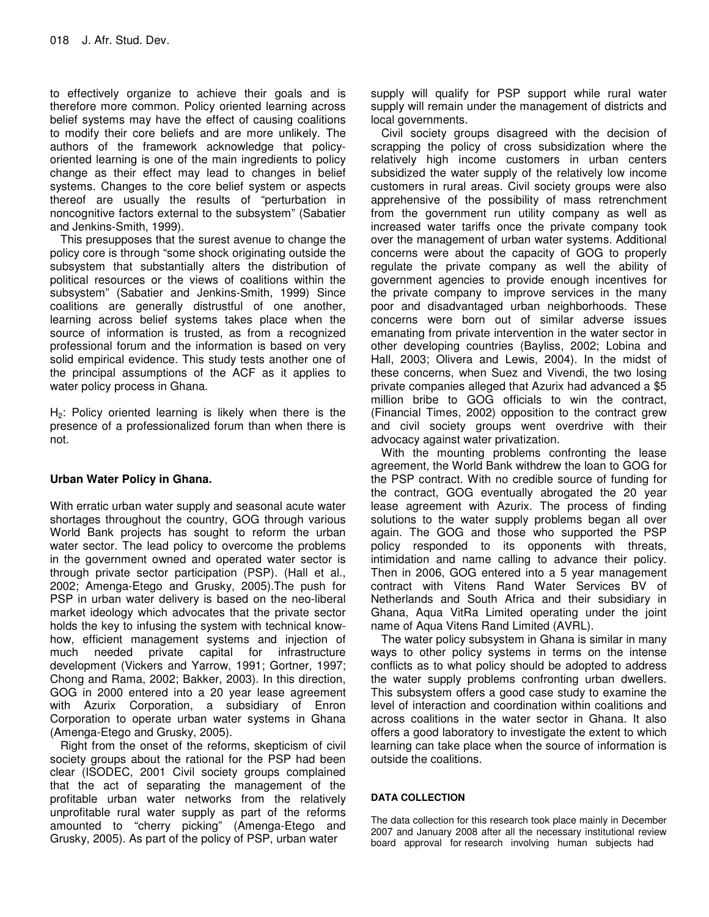to effectively organize to achieve their goals and is therefore more common. Policy oriented learning across belief systems may have the effect of causing coalitions to modify their core beliefs and are more unlikely. The authors of the framework acknowledge that policyoriented learning is one of the main ingredients to policy change as their effect may lead to changes in belief systems. Changes to the core belief system or aspects thereof are usually the results of "perturbation in noncognitive factors external to the subsystem" (Sabatier and Jenkins-Smith, 1999).

This presupposes that the surest avenue to change the policy core is through "some shock originating outside the subsystem that substantially alters the distribution of political resources or the views of coalitions within the subsystem" (Sabatier and Jenkins-Smith, 1999) Since coalitions are generally distrustful of one another, learning across belief systems takes place when the source of information is trusted, as from a recognized professional forum and the information is based on very solid empirical evidence. This study tests another one of the principal assumptions of the ACF as it applies to water policy process in Ghana.

 $H<sub>2</sub>$ : Policy oriented learning is likely when there is the presence of a professionalized forum than when there is not.

## **Urban Water Policy in Ghana.**

With erratic urban water supply and seasonal acute water shortages throughout the country, GOG through various World Bank projects has sought to reform the urban water sector. The lead policy to overcome the problems in the government owned and operated water sector is through private sector participation (PSP). (Hall et al., 2002; Amenga-Etego and Grusky, 2005).The push for PSP in urban water delivery is based on the neo-liberal market ideology which advocates that the private sector holds the key to infusing the system with technical knowhow, efficient management systems and injection of much needed private capital for infrastructure development (Vickers and Yarrow, 1991; Gortner, 1997; Chong and Rama, 2002; Bakker, 2003). In this direction, GOG in 2000 entered into a 20 year lease agreement with Azurix Corporation, a subsidiary of Enron Corporation to operate urban water systems in Ghana (Amenga-Etego and Grusky, 2005).

Right from the onset of the reforms, skepticism of civil society groups about the rational for the PSP had been clear (ISODEC, 2001 Civil society groups complained that the act of separating the management of the profitable urban water networks from the relatively unprofitable rural water supply as part of the reforms amounted to "cherry picking" (Amenga-Etego and Grusky, 2005). As part of the policy of PSP, urban water

supply will qualify for PSP support while rural water supply will remain under the management of districts and local governments.

Civil society groups disagreed with the decision of scrapping the policy of cross subsidization where the relatively high income customers in urban centers subsidized the water supply of the relatively low income customers in rural areas. Civil society groups were also apprehensive of the possibility of mass retrenchment from the government run utility company as well as increased water tariffs once the private company took over the management of urban water systems. Additional concerns were about the capacity of GOG to properly regulate the private company as well the ability of government agencies to provide enough incentives for the private company to improve services in the many poor and disadvantaged urban neighborhoods. These concerns were born out of similar adverse issues emanating from private intervention in the water sector in other developing countries (Bayliss, 2002; Lobina and Hall, 2003; Olivera and Lewis, 2004). In the midst of these concerns, when Suez and Vivendi, the two losing private companies alleged that Azurix had advanced a \$5 million bribe to GOG officials to win the contract, (Financial Times, 2002) opposition to the contract grew and civil society groups went overdrive with their advocacy against water privatization.

With the mounting problems confronting the lease agreement, the World Bank withdrew the loan to GOG for the PSP contract. With no credible source of funding for the contract, GOG eventually abrogated the 20 year lease agreement with Azurix. The process of finding solutions to the water supply problems began all over again. The GOG and those who supported the PSP policy responded to its opponents with threats, intimidation and name calling to advance their policy. Then in 2006, GOG entered into a 5 year management contract with Vitens Rand Water Services BV of Netherlands and South Africa and their subsidiary in Ghana, Aqua VitRa Limited operating under the joint name of Aqua Vitens Rand Limited (AVRL).

The water policy subsystem in Ghana is similar in many ways to other policy systems in terms on the intense conflicts as to what policy should be adopted to address the water supply problems confronting urban dwellers. This subsystem offers a good case study to examine the level of interaction and coordination within coalitions and across coalitions in the water sector in Ghana. It also offers a good laboratory to investigate the extent to which learning can take place when the source of information is outside the coalitions.

#### **DATA COLLECTION**

The data collection for this research took place mainly in December 2007 and January 2008 after all the necessary institutional review board approval for research involving human subjects had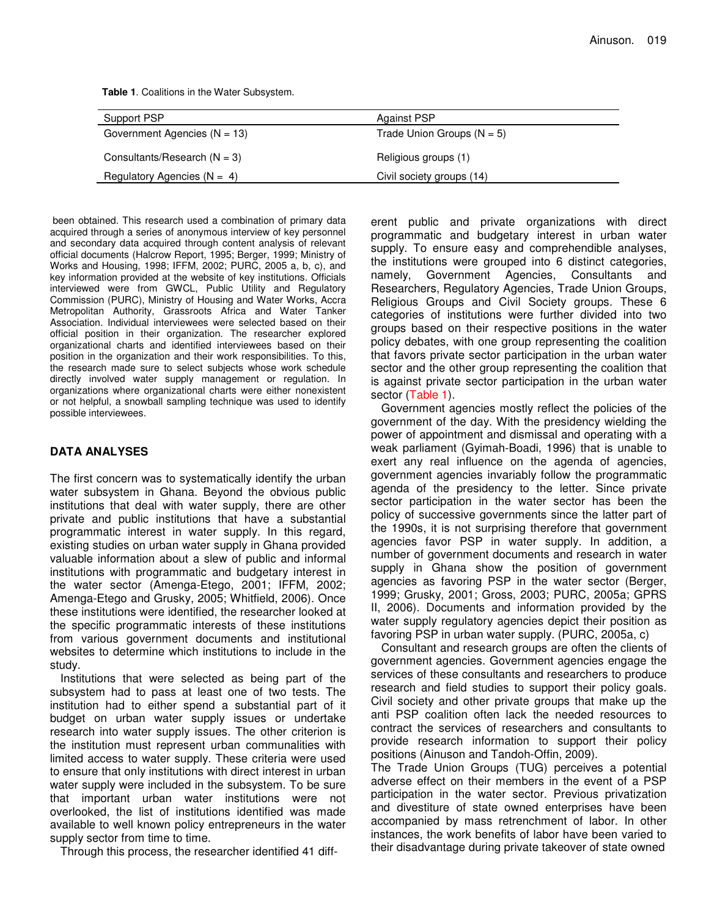| Support PSP                      | <b>Against PSP</b>           |  |
|----------------------------------|------------------------------|--|
| Government Agencies ( $N = 13$ ) | Trade Union Groups $(N = 5)$ |  |
| Consultants/Research $(N = 3)$   | Religious groups (1)         |  |
| Regulatory Agencies ( $N = 4$ )  | Civil society groups (14)    |  |

been obtained. This research used a combination of primary data acquired through a series of anonymous interview of key personnel and secondary data acquired through content analysis of relevant official documents (Halcrow Report, 1995; Berger, 1999; Ministry of Works and Housing, 1998; IFFM, 2002; PURC, 2005 a, b, c), and key information provided at the website of key institutions. Officials interviewed were from GWCL, Public Utility and Regulatory Commission (PURC), Ministry of Housing and Water Works, Accra Metropolitan Authority, Grassroots Africa and Water Tanker Association. Individual interviewees were selected based on their official position in their organization. The researcher explored organizational charts and identified interviewees based on their position in the organization and their work responsibilities. To this, the research made sure to select subjects whose work schedule directly involved water supply management or regulation. In organizations where organizational charts were either nonexistent or not helpful, a snowball sampling technique was used to identify possible interviewees.

### **DATA ANALYSES**

The first concern was to systematically identify the urban water subsystem in Ghana. Beyond the obvious public institutions that deal with water supply, there are other private and public institutions that have a substantial programmatic interest in water supply. In this regard, existing studies on urban water supply in Ghana provided valuable information about a slew of public and informal institutions with programmatic and budgetary interest in the water sector (Amenga-Etego, 2001; IFFM, 2002; Amenga-Etego and Grusky, 2005; Whitfield, 2006). Once these institutions were identified, the researcher looked at the specific programmatic interests of these institutions from various government documents and institutional websites to determine which institutions to include in the study.

Institutions that were selected as being part of the subsystem had to pass at least one of two tests. The institution had to either spend a substantial part of it budget on urban water supply issues or undertake research into water supply issues. The other criterion is the institution must represent urban communalities with limited access to water supply. These criteria were used to ensure that only institutions with direct interest in urban water supply were included in the subsystem. To be sure that important urban water institutions were not overlooked, the list of institutions identified was made available to well known policy entrepreneurs in the water supply sector from time to time.

Through this process, the researcher identified 41 diff-

erent public and private organizations with direct programmatic and budgetary interest in urban water supply. To ensure easy and comprehendible analyses, the institutions were grouped into 6 distinct categories, namely, Government Agencies, Consultants and Researchers, Regulatory Agencies, Trade Union Groups, Religious Groups and Civil Society groups. These 6 categories of institutions were further divided into two groups based on their respective positions in the water policy debates, with one group representing the coalition that favors private sector participation in the urban water sector and the other group representing the coalition that is against private sector participation in the urban water sector (Table 1).

Government agencies mostly reflect the policies of the government of the day. With the presidency wielding the power of appointment and dismissal and operating with a weak parliament (Gyimah-Boadi, 1996) that is unable to exert any real influence on the agenda of agencies, government agencies invariably follow the programmatic agenda of the presidency to the letter. Since private sector participation in the water sector has been the policy of successive governments since the latter part of the 1990s, it is not surprising therefore that government agencies favor PSP in water supply. In addition, a number of government documents and research in water supply in Ghana show the position of government agencies as favoring PSP in the water sector (Berger, 1999; Grusky, 2001; Gross, 2003; PURC, 2005a; GPRS II, 2006). Documents and information provided by the water supply regulatory agencies depict their position as favoring PSP in urban water supply. (PURC, 2005a, c)

Consultant and research groups are often the clients of government agencies. Government agencies engage the services of these consultants and researchers to produce research and field studies to support their policy goals. Civil society and other private groups that make up the anti PSP coalition often lack the needed resources to contract the services of researchers and consultants to provide research information to support their policy positions (Ainuson and Tandoh-Offin, 2009).

The Trade Union Groups (TUG) perceives a potential adverse effect on their members in the event of a PSP participation in the water sector. Previous privatization and divestiture of state owned enterprises have been accompanied by mass retrenchment of labor. In other instances, the work benefits of labor have been varied to their disadvantage during private takeover of state owned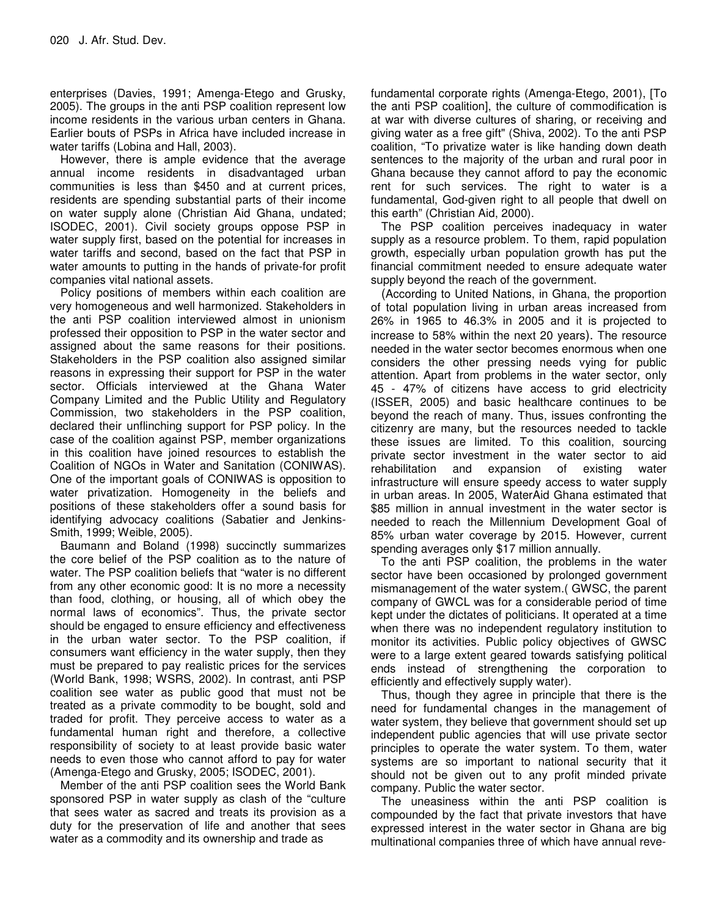enterprises (Davies, 1991; Amenga-Etego and Grusky, 2005). The groups in the anti PSP coalition represent low income residents in the various urban centers in Ghana. Earlier bouts of PSPs in Africa have included increase in water tariffs (Lobina and Hall, 2003).

However, there is ample evidence that the average annual income residents in disadvantaged urban communities is less than \$450 and at current prices, residents are spending substantial parts of their income on water supply alone (Christian Aid Ghana, undated; ISODEC, 2001). Civil society groups oppose PSP in water supply first, based on the potential for increases in water tariffs and second, based on the fact that PSP in water amounts to putting in the hands of private-for profit companies vital national assets.

Policy positions of members within each coalition are very homogeneous and well harmonized. Stakeholders in the anti PSP coalition interviewed almost in unionism professed their opposition to PSP in the water sector and assigned about the same reasons for their positions. Stakeholders in the PSP coalition also assigned similar reasons in expressing their support for PSP in the water sector. Officials interviewed at the Ghana Water Company Limited and the Public Utility and Regulatory Commission, two stakeholders in the PSP coalition, declared their unflinching support for PSP policy. In the case of the coalition against PSP, member organizations in this coalition have joined resources to establish the Coalition of NGOs in Water and Sanitation (CONIWAS). One of the important goals of CONIWAS is opposition to water privatization. Homogeneity in the beliefs and positions of these stakeholders offer a sound basis for identifying advocacy coalitions (Sabatier and Jenkins-Smith, 1999; Weible, 2005).

Baumann and Boland (1998) succinctly summarizes the core belief of the PSP coalition as to the nature of water. The PSP coalition beliefs that "water is no different from any other economic good: It is no more a necessity than food, clothing, or housing, all of which obey the normal laws of economics". Thus, the private sector should be engaged to ensure efficiency and effectiveness in the urban water sector. To the PSP coalition, if consumers want efficiency in the water supply, then they must be prepared to pay realistic prices for the services (World Bank, 1998; WSRS, 2002). In contrast, anti PSP coalition see water as public good that must not be treated as a private commodity to be bought, sold and traded for profit. They perceive access to water as a fundamental human right and therefore, a collective responsibility of society to at least provide basic water needs to even those who cannot afford to pay for water (Amenga-Etego and Grusky, 2005; ISODEC, 2001).

Member of the anti PSP coalition sees the World Bank sponsored PSP in water supply as clash of the "culture that sees water as sacred and treats its provision as a duty for the preservation of life and another that sees water as a commodity and its ownership and trade as

fundamental corporate rights (Amenga-Etego, 2001), [To the anti PSP coalition], the culture of commodification is at war with diverse cultures of sharing, or receiving and giving water as a free gift" (Shiva, 2002). To the anti PSP coalition, "To privatize water is like handing down death sentences to the majority of the urban and rural poor in Ghana because they cannot afford to pay the economic rent for such services. The right to water is a fundamental, God-given right to all people that dwell on this earth" (Christian Aid, 2000).

The PSP coalition perceives inadequacy in water supply as a resource problem. To them, rapid population growth, especially urban population growth has put the financial commitment needed to ensure adequate water supply beyond the reach of the government.

(According to United Nations, in Ghana, the proportion of total population living in urban areas increased from 26% in 1965 to 46.3% in 2005 and it is projected to increase to 58% within the next 20 years). The resource needed in the water sector becomes enormous when one considers the other pressing needs vying for public attention. Apart from problems in the water sector, only 45 - 47% of citizens have access to grid electricity (ISSER, 2005) and basic healthcare continues to be beyond the reach of many. Thus, issues confronting the citizenry are many, but the resources needed to tackle these issues are limited. To this coalition, sourcing private sector investment in the water sector to aid<br>rehabilitation and expansion of existing water and expansion of existing water infrastructure will ensure speedy access to water supply in urban areas. In 2005, WaterAid Ghana estimated that \$85 million in annual investment in the water sector is needed to reach the Millennium Development Goal of 85% urban water coverage by 2015. However, current spending averages only \$17 million annually.

To the anti PSP coalition, the problems in the water sector have been occasioned by prolonged government mismanagement of the water system.( GWSC, the parent company of GWCL was for a considerable period of time kept under the dictates of politicians. It operated at a time when there was no independent regulatory institution to monitor its activities. Public policy objectives of GWSC were to a large extent geared towards satisfying political ends instead of strengthening the corporation to efficiently and effectively supply water).

Thus, though they agree in principle that there is the need for fundamental changes in the management of water system, they believe that government should set up independent public agencies that will use private sector principles to operate the water system. To them, water systems are so important to national security that it should not be given out to any profit minded private company. Public the water sector.

The uneasiness within the anti PSP coalition is compounded by the fact that private investors that have expressed interest in the water sector in Ghana are big multinational companies three of which have annual reve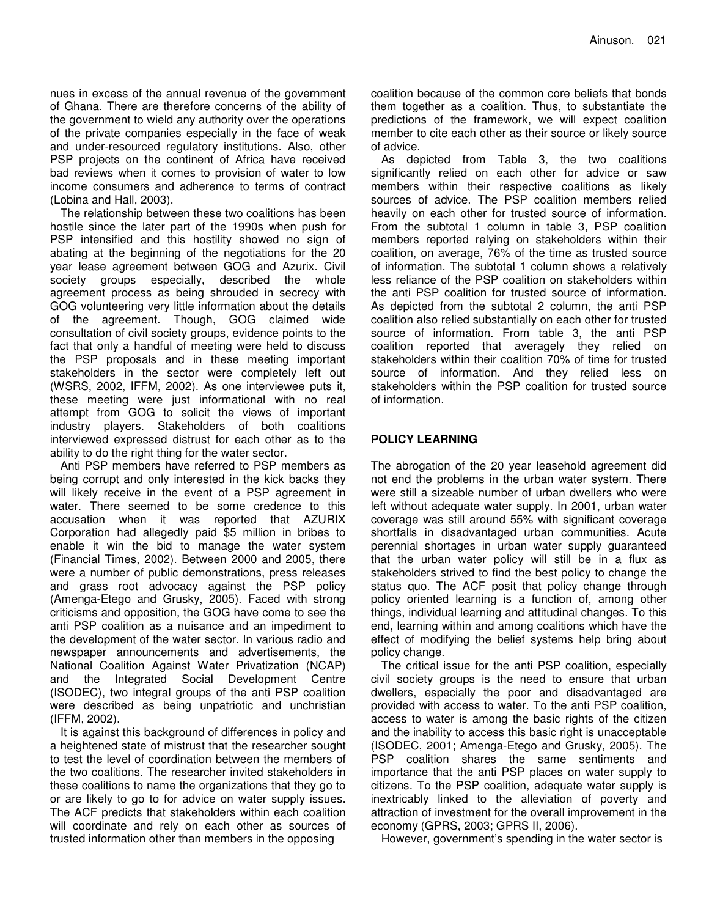nues in excess of the annual revenue of the government of Ghana. There are therefore concerns of the ability of the government to wield any authority over the operations of the private companies especially in the face of weak and under-resourced regulatory institutions. Also, other PSP projects on the continent of Africa have received bad reviews when it comes to provision of water to low income consumers and adherence to terms of contract (Lobina and Hall, 2003).

The relationship between these two coalitions has been hostile since the later part of the 1990s when push for PSP intensified and this hostility showed no sign of abating at the beginning of the negotiations for the 20 year lease agreement between GOG and Azurix. Civil society groups especially, described the whole agreement process as being shrouded in secrecy with GOG volunteering very little information about the details of the agreement. Though, GOG claimed wide consultation of civil society groups, evidence points to the fact that only a handful of meeting were held to discuss the PSP proposals and in these meeting important stakeholders in the sector were completely left out (WSRS, 2002, IFFM, 2002). As one interviewee puts it, these meeting were just informational with no real attempt from GOG to solicit the views of important industry players. Stakeholders of both coalitions interviewed expressed distrust for each other as to the ability to do the right thing for the water sector.

Anti PSP members have referred to PSP members as being corrupt and only interested in the kick backs they will likely receive in the event of a PSP agreement in water. There seemed to be some credence to this accusation when it was reported that AZURIX Corporation had allegedly paid \$5 million in bribes to enable it win the bid to manage the water system (Financial Times, 2002). Between 2000 and 2005, there were a number of public demonstrations, press releases and grass root advocacy against the PSP policy (Amenga-Etego and Grusky, 2005). Faced with strong criticisms and opposition, the GOG have come to see the anti PSP coalition as a nuisance and an impediment to the development of the water sector. In various radio and newspaper announcements and advertisements, the National Coalition Against Water Privatization (NCAP) and the Integrated Social Development Centre (ISODEC), two integral groups of the anti PSP coalition were described as being unpatriotic and unchristian (IFFM, 2002).

It is against this background of differences in policy and a heightened state of mistrust that the researcher sought to test the level of coordination between the members of the two coalitions. The researcher invited stakeholders in these coalitions to name the organizations that they go to or are likely to go to for advice on water supply issues. The ACF predicts that stakeholders within each coalition will coordinate and rely on each other as sources of trusted information other than members in the opposing

coalition because of the common core beliefs that bonds them together as a coalition. Thus, to substantiate the predictions of the framework, we will expect coalition member to cite each other as their source or likely source of advice.

As depicted from Table 3, the two coalitions significantly relied on each other for advice or saw members within their respective coalitions as likely sources of advice. The PSP coalition members relied heavily on each other for trusted source of information. From the subtotal 1 column in table 3, PSP coalition members reported relying on stakeholders within their coalition, on average, 76% of the time as trusted source of information. The subtotal 1 column shows a relatively less reliance of the PSP coalition on stakeholders within the anti PSP coalition for trusted source of information. As depicted from the subtotal 2 column, the anti PSP coalition also relied substantially on each other for trusted source of information. From table 3, the anti PSP coalition reported that averagely they relied on stakeholders within their coalition 70% of time for trusted source of information. And they relied less on stakeholders within the PSP coalition for trusted source of information.

# **POLICY LEARNING**

The abrogation of the 20 year leasehold agreement did not end the problems in the urban water system. There were still a sizeable number of urban dwellers who were left without adequate water supply. In 2001, urban water coverage was still around 55% with significant coverage shortfalls in disadvantaged urban communities. Acute perennial shortages in urban water supply guaranteed that the urban water policy will still be in a flux as stakeholders strived to find the best policy to change the status quo. The ACF posit that policy change through policy oriented learning is a function of, among other things, individual learning and attitudinal changes. To this end, learning within and among coalitions which have the effect of modifying the belief systems help bring about policy change.

The critical issue for the anti PSP coalition, especially civil society groups is the need to ensure that urban dwellers, especially the poor and disadvantaged are provided with access to water. To the anti PSP coalition, access to water is among the basic rights of the citizen and the inability to access this basic right is unacceptable (ISODEC, 2001; Amenga-Etego and Grusky, 2005). The PSP coalition shares the same sentiments and importance that the anti PSP places on water supply to citizens. To the PSP coalition, adequate water supply is inextricably linked to the alleviation of poverty and attraction of investment for the overall improvement in the economy (GPRS, 2003; GPRS II, 2006).

However, government's spending in the water sector is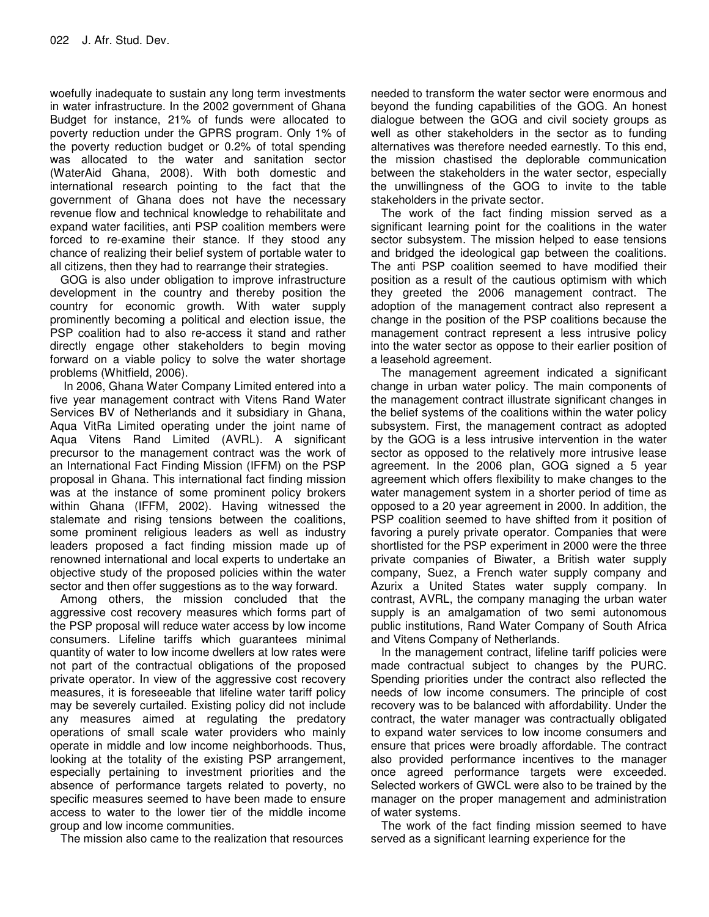woefully inadequate to sustain any long term investments in water infrastructure. In the 2002 government of Ghana Budget for instance, 21% of funds were allocated to poverty reduction under the GPRS program. Only 1% of the poverty reduction budget or 0.2% of total spending was allocated to the water and sanitation sector (WaterAid Ghana, 2008). With both domestic and international research pointing to the fact that the government of Ghana does not have the necessary revenue flow and technical knowledge to rehabilitate and expand water facilities, anti PSP coalition members were forced to re-examine their stance. If they stood any chance of realizing their belief system of portable water to all citizens, then they had to rearrange their strategies.

GOG is also under obligation to improve infrastructure development in the country and thereby position the country for economic growth. With water supply prominently becoming a political and election issue, the PSP coalition had to also re-access it stand and rather directly engage other stakeholders to begin moving forward on a viable policy to solve the water shortage problems (Whitfield, 2006).

In 2006, Ghana Water Company Limited entered into a five year management contract with Vitens Rand Water Services BV of Netherlands and it subsidiary in Ghana, Aqua VitRa Limited operating under the joint name of Aqua Vitens Rand Limited (AVRL). A significant precursor to the management contract was the work of an International Fact Finding Mission (IFFM) on the PSP proposal in Ghana. This international fact finding mission was at the instance of some prominent policy brokers within Ghana (IFFM, 2002). Having witnessed the stalemate and rising tensions between the coalitions, some prominent religious leaders as well as industry leaders proposed a fact finding mission made up of renowned international and local experts to undertake an objective study of the proposed policies within the water sector and then offer suggestions as to the way forward.

Among others, the mission concluded that the aggressive cost recovery measures which forms part of the PSP proposal will reduce water access by low income consumers. Lifeline tariffs which guarantees minimal quantity of water to low income dwellers at low rates were not part of the contractual obligations of the proposed private operator. In view of the aggressive cost recovery measures, it is foreseeable that lifeline water tariff policy may be severely curtailed. Existing policy did not include any measures aimed at regulating the predatory operations of small scale water providers who mainly operate in middle and low income neighborhoods. Thus, looking at the totality of the existing PSP arrangement, especially pertaining to investment priorities and the absence of performance targets related to poverty, no specific measures seemed to have been made to ensure access to water to the lower tier of the middle income group and low income communities.

The mission also came to the realization that resources

needed to transform the water sector were enormous and beyond the funding capabilities of the GOG. An honest dialogue between the GOG and civil society groups as well as other stakeholders in the sector as to funding alternatives was therefore needed earnestly. To this end, the mission chastised the deplorable communication between the stakeholders in the water sector, especially the unwillingness of the GOG to invite to the table stakeholders in the private sector.

The work of the fact finding mission served as a significant learning point for the coalitions in the water sector subsystem. The mission helped to ease tensions and bridged the ideological gap between the coalitions. The anti PSP coalition seemed to have modified their position as a result of the cautious optimism with which they greeted the 2006 management contract. The adoption of the management contract also represent a change in the position of the PSP coalitions because the management contract represent a less intrusive policy into the water sector as oppose to their earlier position of a leasehold agreement.

The management agreement indicated a significant change in urban water policy. The main components of the management contract illustrate significant changes in the belief systems of the coalitions within the water policy subsystem. First, the management contract as adopted by the GOG is a less intrusive intervention in the water sector as opposed to the relatively more intrusive lease agreement. In the 2006 plan, GOG signed a 5 year agreement which offers flexibility to make changes to the water management system in a shorter period of time as opposed to a 20 year agreement in 2000. In addition, the PSP coalition seemed to have shifted from it position of favoring a purely private operator. Companies that were shortlisted for the PSP experiment in 2000 were the three private companies of Biwater, a British water supply company, Suez, a French water supply company and Azurix a United States water supply company. In contrast, AVRL, the company managing the urban water supply is an amalgamation of two semi autonomous public institutions, Rand Water Company of South Africa and Vitens Company of Netherlands.

In the management contract, lifeline tariff policies were made contractual subject to changes by the PURC. Spending priorities under the contract also reflected the needs of low income consumers. The principle of cost recovery was to be balanced with affordability. Under the contract, the water manager was contractually obligated to expand water services to low income consumers and ensure that prices were broadly affordable. The contract also provided performance incentives to the manager once agreed performance targets were exceeded. Selected workers of GWCL were also to be trained by the manager on the proper management and administration of water systems.

The work of the fact finding mission seemed to have served as a significant learning experience for the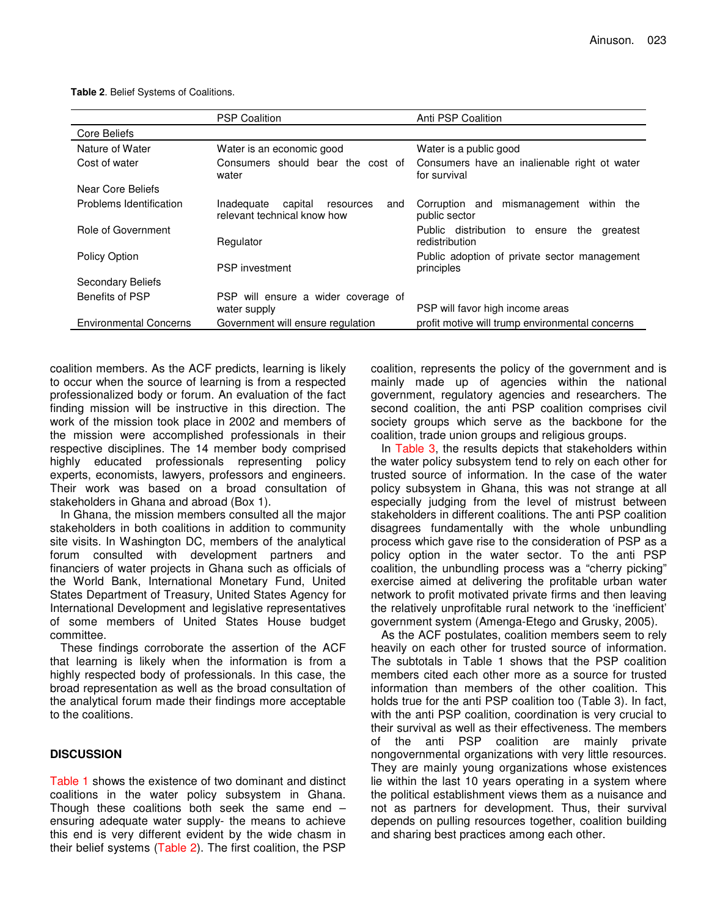|                               | <b>PSP Coalition</b>                                                     | Anti PSP Coalition                                                 |
|-------------------------------|--------------------------------------------------------------------------|--------------------------------------------------------------------|
| Core Beliefs                  |                                                                          |                                                                    |
| Nature of Water               | Water is an economic good                                                | Water is a public good                                             |
| Cost of water                 | Consumers should bear the cost of<br>water                               | Consumers have an inalienable right ot water<br>for survival       |
| Near Core Beliefs             |                                                                          |                                                                    |
| Problems Identification       | Inadequate<br>capital<br>resources<br>and<br>relevant technical know how | Corruption and mismanagement within the<br>public sector           |
| Role of Government            | Regulator                                                                | Public distribution to ensure<br>the<br>greatest<br>redistribution |
| Policy Option                 |                                                                          | Public adoption of private sector management                       |
|                               | PSP investment                                                           | principles                                                         |
| <b>Secondary Beliefs</b>      |                                                                          |                                                                    |
| Benefits of PSP               | PSP will ensure a wider coverage of                                      |                                                                    |
|                               | water supply                                                             | PSP will favor high income areas                                   |
| <b>Environmental Concerns</b> | Government will ensure regulation                                        | profit motive will trump environmental concerns                    |

**Table 2**. Belief Systems of Coalitions.

coalition members. As the ACF predicts, learning is likely to occur when the source of learning is from a respected professionalized body or forum. An evaluation of the fact finding mission will be instructive in this direction. The work of the mission took place in 2002 and members of the mission were accomplished professionals in their respective disciplines. The 14 member body comprised highly educated professionals representing policy experts, economists, lawyers, professors and engineers. Their work was based on a broad consultation of stakeholders in Ghana and abroad (Box 1).

In Ghana, the mission members consulted all the major stakeholders in both coalitions in addition to community site visits. In Washington DC, members of the analytical forum consulted with development partners and financiers of water projects in Ghana such as officials of the World Bank, International Monetary Fund, United States Department of Treasury, United States Agency for International Development and legislative representatives of some members of United States House budget committee.

These findings corroborate the assertion of the ACF that learning is likely when the information is from a highly respected body of professionals. In this case, the broad representation as well as the broad consultation of the analytical forum made their findings more acceptable to the coalitions.

## **DISCUSSION**

Table 1 shows the existence of two dominant and distinct coalitions in the water policy subsystem in Ghana. Though these coalitions both seek the same end – ensuring adequate water supply- the means to achieve this end is very different evident by the wide chasm in their belief systems (Table 2). The first coalition, the PSP

coalition, represents the policy of the government and is mainly made up of agencies within the national government, regulatory agencies and researchers. The second coalition, the anti PSP coalition comprises civil society groups which serve as the backbone for the coalition, trade union groups and religious groups.

In Table 3, the results depicts that stakeholders within the water policy subsystem tend to rely on each other for trusted source of information. In the case of the water policy subsystem in Ghana, this was not strange at all especially judging from the level of mistrust between stakeholders in different coalitions. The anti PSP coalition disagrees fundamentally with the whole unbundling process which gave rise to the consideration of PSP as a policy option in the water sector. To the anti PSP coalition, the unbundling process was a "cherry picking" exercise aimed at delivering the profitable urban water network to profit motivated private firms and then leaving the relatively unprofitable rural network to the 'inefficient' government system (Amenga-Etego and Grusky, 2005).

As the ACF postulates, coalition members seem to rely heavily on each other for trusted source of information. The subtotals in Table 1 shows that the PSP coalition members cited each other more as a source for trusted information than members of the other coalition. This holds true for the anti PSP coalition too (Table 3). In fact, with the anti PSP coalition, coordination is very crucial to their survival as well as their effectiveness. The members of the anti PSP coalition are mainly private nongovernmental organizations with very little resources. They are mainly young organizations whose existences lie within the last 10 years operating in a system where the political establishment views them as a nuisance and not as partners for development. Thus, their survival depends on pulling resources together, coalition building and sharing best practices among each other.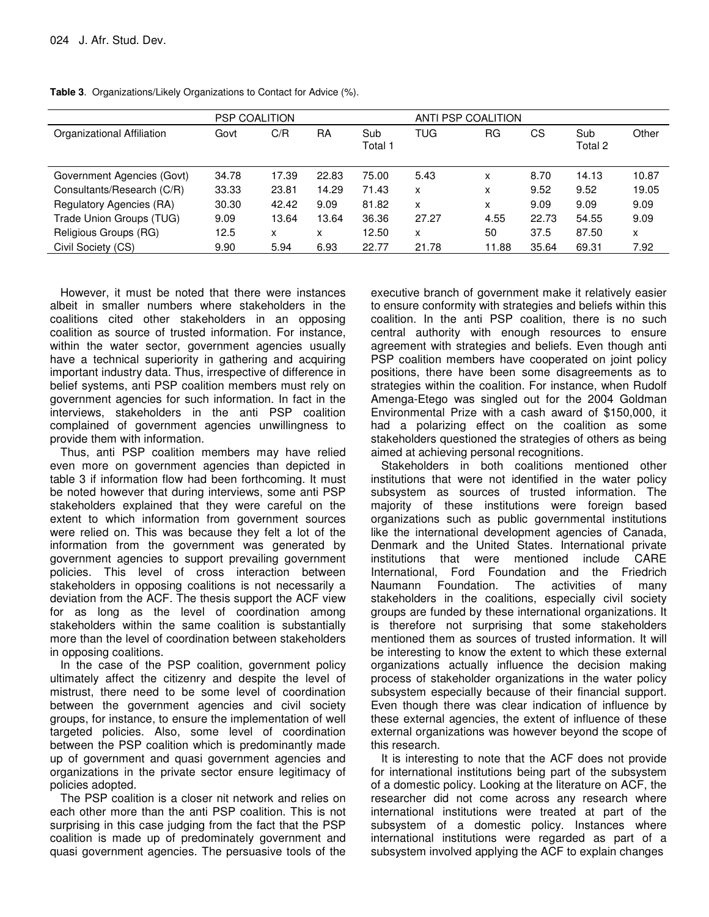|                            | <b>PSP COALITION</b> |       |       |                | ANTI PSP COALITION |       |       |                |       |
|----------------------------|----------------------|-------|-------|----------------|--------------------|-------|-------|----------------|-------|
| Organizational Affiliation | Govt                 | C/R   | RA    | Sub<br>Total 1 | TUG                | RG    | СS    | Sub<br>Total 2 | Other |
| Government Agencies (Govt) | 34.78                | 17.39 | 22.83 | 75.00          | 5.43               | x     | 8.70  | 14.13          | 10.87 |
| Consultants/Research (C/R) | 33.33                | 23.81 | 14.29 | 71.43          | x                  | x     | 9.52  | 9.52           | 19.05 |
| Regulatory Agencies (RA)   | 30.30                | 42.42 | 9.09  | 81.82          | x                  | x     | 9.09  | 9.09           | 9.09  |
| Trade Union Groups (TUG)   | 9.09                 | 13.64 | 13.64 | 36.36          | 27.27              | 4.55  | 22.73 | 54.55          | 9.09  |
| Religious Groups (RG)      | 12.5                 | x     | x     | 12.50          | x                  | 50    | 37.5  | 87.50          | X     |
| Civil Society (CS)         | 9.90                 | 5.94  | 6.93  | 22.77          | 21.78              | 11.88 | 35.64 | 69.31          | 7.92  |

**Table 3**. Organizations/Likely Organizations to Contact for Advice (%).

However, it must be noted that there were instances albeit in smaller numbers where stakeholders in the coalitions cited other stakeholders in an opposing coalition as source of trusted information. For instance, within the water sector, government agencies usually have a technical superiority in gathering and acquiring important industry data. Thus, irrespective of difference in belief systems, anti PSP coalition members must rely on government agencies for such information. In fact in the interviews, stakeholders in the anti PSP coalition complained of government agencies unwillingness to provide them with information.

Thus, anti PSP coalition members may have relied even more on government agencies than depicted in table 3 if information flow had been forthcoming. It must be noted however that during interviews, some anti PSP stakeholders explained that they were careful on the extent to which information from government sources were relied on. This was because they felt a lot of the information from the government was generated by government agencies to support prevailing government policies. This level of cross interaction between stakeholders in opposing coalitions is not necessarily a deviation from the ACF. The thesis support the ACF view for as long as the level of coordination among stakeholders within the same coalition is substantially more than the level of coordination between stakeholders in opposing coalitions.

In the case of the PSP coalition, government policy ultimately affect the citizenry and despite the level of mistrust, there need to be some level of coordination between the government agencies and civil society groups, for instance, to ensure the implementation of well targeted policies. Also, some level of coordination between the PSP coalition which is predominantly made up of government and quasi government agencies and organizations in the private sector ensure legitimacy of policies adopted.

The PSP coalition is a closer nit network and relies on each other more than the anti PSP coalition. This is not surprising in this case judging from the fact that the PSP coalition is made up of predominately government and quasi government agencies. The persuasive tools of the executive branch of government make it relatively easier to ensure conformity with strategies and beliefs within this coalition. In the anti PSP coalition, there is no such central authority with enough resources to ensure agreement with strategies and beliefs. Even though anti PSP coalition members have cooperated on joint policy positions, there have been some disagreements as to strategies within the coalition. For instance, when Rudolf Amenga-Etego was singled out for the 2004 Goldman Environmental Prize with a cash award of \$150,000, it had a polarizing effect on the coalition as some stakeholders questioned the strategies of others as being aimed at achieving personal recognitions.

Stakeholders in both coalitions mentioned other institutions that were not identified in the water policy subsystem as sources of trusted information. The majority of these institutions were foreign based organizations such as public governmental institutions like the international development agencies of Canada, Denmark and the United States. International private institutions that were mentioned include CARE International, Ford Foundation and the Friedrich Naumann Foundation. The activities of many stakeholders in the coalitions, especially civil society groups are funded by these international organizations. It is therefore not surprising that some stakeholders mentioned them as sources of trusted information. It will be interesting to know the extent to which these external organizations actually influence the decision making process of stakeholder organizations in the water policy subsystem especially because of their financial support. Even though there was clear indication of influence by these external agencies, the extent of influence of these external organizations was however beyond the scope of this research.

It is interesting to note that the ACF does not provide for international institutions being part of the subsystem of a domestic policy. Looking at the literature on ACF, the researcher did not come across any research where international institutions were treated at part of the subsystem of a domestic policy. Instances where international institutions were regarded as part of a subsystem involved applying the ACF to explain changes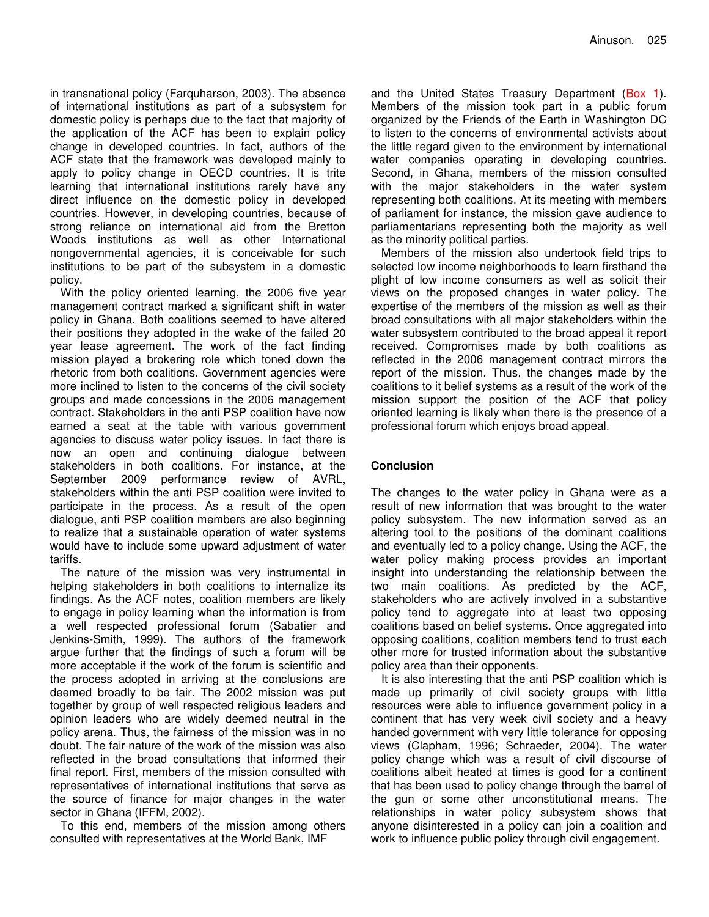in transnational policy (Farquharson, 2003). The absence of international institutions as part of a subsystem for domestic policy is perhaps due to the fact that majority of the application of the ACF has been to explain policy change in developed countries. In fact, authors of the ACF state that the framework was developed mainly to apply to policy change in OECD countries. It is trite learning that international institutions rarely have any direct influence on the domestic policy in developed countries. However, in developing countries, because of strong reliance on international aid from the Bretton Woods institutions as well as other International nongovernmental agencies, it is conceivable for such institutions to be part of the subsystem in a domestic policy.

With the policy oriented learning, the 2006 five year management contract marked a significant shift in water policy in Ghana. Both coalitions seemed to have altered their positions they adopted in the wake of the failed 20 year lease agreement. The work of the fact finding mission played a brokering role which toned down the rhetoric from both coalitions. Government agencies were more inclined to listen to the concerns of the civil society groups and made concessions in the 2006 management contract. Stakeholders in the anti PSP coalition have now earned a seat at the table with various government agencies to discuss water policy issues. In fact there is now an open and continuing dialogue between stakeholders in both coalitions. For instance, at the September 2009 performance review of AVRL, stakeholders within the anti PSP coalition were invited to participate in the process. As a result of the open dialogue, anti PSP coalition members are also beginning to realize that a sustainable operation of water systems would have to include some upward adjustment of water tariffs.

The nature of the mission was very instrumental in helping stakeholders in both coalitions to internalize its findings. As the ACF notes, coalition members are likely to engage in policy learning when the information is from a well respected professional forum (Sabatier and Jenkins-Smith, 1999). The authors of the framework argue further that the findings of such a forum will be more acceptable if the work of the forum is scientific and the process adopted in arriving at the conclusions are deemed broadly to be fair. The 2002 mission was put together by group of well respected religious leaders and opinion leaders who are widely deemed neutral in the policy arena. Thus, the fairness of the mission was in no doubt. The fair nature of the work of the mission was also reflected in the broad consultations that informed their final report. First, members of the mission consulted with representatives of international institutions that serve as the source of finance for major changes in the water sector in Ghana (IFFM, 2002).

To this end, members of the mission among others consulted with representatives at the World Bank, IMF

and the United States Treasury Department (Box 1). Members of the mission took part in a public forum organized by the Friends of the Earth in Washington DC to listen to the concerns of environmental activists about the little regard given to the environment by international water companies operating in developing countries. Second, in Ghana, members of the mission consulted with the major stakeholders in the water system representing both coalitions. At its meeting with members of parliament for instance, the mission gave audience to parliamentarians representing both the majority as well as the minority political parties.

Members of the mission also undertook field trips to selected low income neighborhoods to learn firsthand the plight of low income consumers as well as solicit their views on the proposed changes in water policy. The expertise of the members of the mission as well as their broad consultations with all major stakeholders within the water subsystem contributed to the broad appeal it report received. Compromises made by both coalitions as reflected in the 2006 management contract mirrors the report of the mission. Thus, the changes made by the coalitions to it belief systems as a result of the work of the mission support the position of the ACF that policy oriented learning is likely when there is the presence of a professional forum which enjoys broad appeal.

## **Conclusion**

The changes to the water policy in Ghana were as a result of new information that was brought to the water policy subsystem. The new information served as an altering tool to the positions of the dominant coalitions and eventually led to a policy change. Using the ACF, the water policy making process provides an important insight into understanding the relationship between the two main coalitions. As predicted by the ACF, stakeholders who are actively involved in a substantive policy tend to aggregate into at least two opposing coalitions based on belief systems. Once aggregated into opposing coalitions, coalition members tend to trust each other more for trusted information about the substantive policy area than their opponents.

It is also interesting that the anti PSP coalition which is made up primarily of civil society groups with little resources were able to influence government policy in a continent that has very week civil society and a heavy handed government with very little tolerance for opposing views (Clapham, 1996; Schraeder, 2004). The water policy change which was a result of civil discourse of coalitions albeit heated at times is good for a continent that has been used to policy change through the barrel of the gun or some other unconstitutional means. The relationships in water policy subsystem shows that anyone disinterested in a policy can join a coalition and work to influence public policy through civil engagement.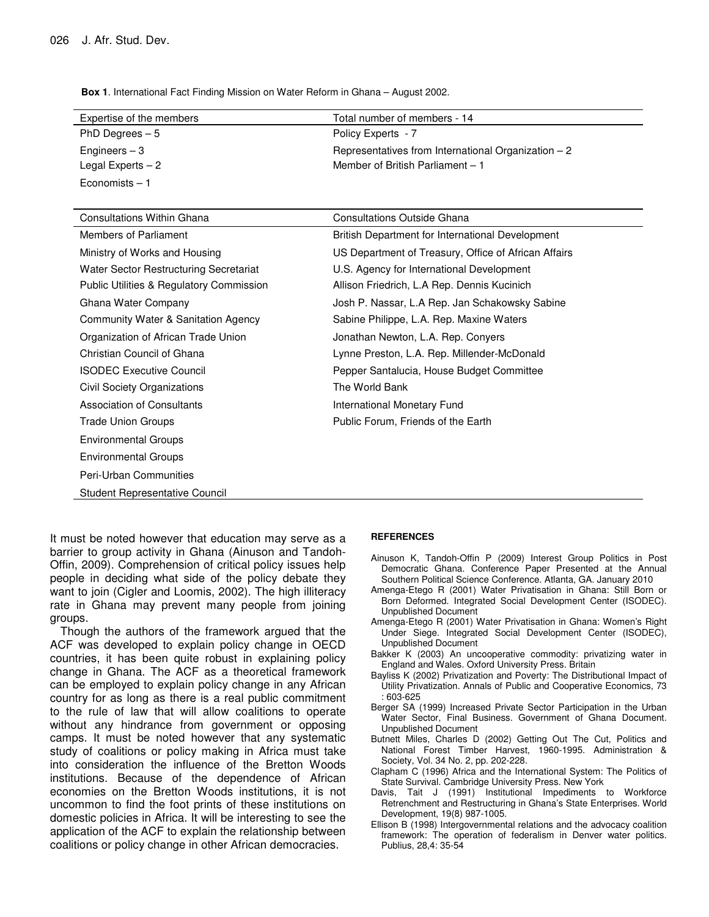**Box 1**. International Fact Finding Mission on Water Reform in Ghana – August 2002.

| Expertise of the members | Total number of members - 14                         |
|--------------------------|------------------------------------------------------|
| PhD Degrees $-5$         | Policy Experts - 7                                   |
| Engineers $-3$           | Representatives from International Organization $-2$ |
| Legal Experts $-2$       | Member of British Parliament – 1                     |
| Economists $-1$          |                                                      |

| <b>Consultations Within Ghana</b>                   | <b>Consultations Outside Ghana</b>                   |
|-----------------------------------------------------|------------------------------------------------------|
| Members of Parliament                               | British Department for International Development     |
| Ministry of Works and Housing                       | US Department of Treasury, Office of African Affairs |
| Water Sector Restructuring Secretariat              | U.S. Agency for International Development            |
| <b>Public Utilities &amp; Regulatory Commission</b> | Allison Friedrich, L.A Rep. Dennis Kucinich          |
| Ghana Water Company                                 | Josh P. Nassar, L.A Rep. Jan Schakowsky Sabine       |
| Community Water & Sanitation Agency                 | Sabine Philippe, L.A. Rep. Maxine Waters             |
| Organization of African Trade Union                 | Jonathan Newton, L.A. Rep. Conyers                   |
| Christian Council of Ghana                          | Lynne Preston, L.A. Rep. Millender-McDonald          |
| <b>ISODEC Executive Council</b>                     | Pepper Santalucia, House Budget Committee            |
| Civil Society Organizations                         | The World Bank                                       |
| Association of Consultants                          | International Monetary Fund                          |
| Trade Union Groups                                  | Public Forum, Friends of the Earth                   |
| <b>Environmental Groups</b>                         |                                                      |
| <b>Environmental Groups</b>                         |                                                      |
| Peri-Urban Communities                              |                                                      |
| Student Representative Council                      |                                                      |

It must be noted however that education may serve as a barrier to group activity in Ghana (Ainuson and Tandoh-Offin, 2009). Comprehension of critical policy issues help people in deciding what side of the policy debate they want to join (Cigler and Loomis, 2002). The high illiteracy rate in Ghana may prevent many people from joining groups.

Though the authors of the framework argued that the ACF was developed to explain policy change in OECD countries, it has been quite robust in explaining policy change in Ghana. The ACF as a theoretical framework can be employed to explain policy change in any African country for as long as there is a real public commitment to the rule of law that will allow coalitions to operate without any hindrance from government or opposing camps. It must be noted however that any systematic study of coalitions or policy making in Africa must take into consideration the influence of the Bretton Woods institutions. Because of the dependence of African economies on the Bretton Woods institutions, it is not uncommon to find the foot prints of these institutions on domestic policies in Africa. It will be interesting to see the application of the ACF to explain the relationship between coalitions or policy change in other African democracies.

#### **REFERENCES**

- Ainuson K, Tandoh-Offin P (2009) Interest Group Politics in Post Democratic Ghana. Conference Paper Presented at the Annual Southern Political Science Conference. Atlanta, GA. January 2010
- Amenga-Etego R (2001) Water Privatisation in Ghana: Still Born or Born Deformed. Integrated Social Development Center (ISODEC). Unpublished Document
- Amenga-Etego R (2001) Water Privatisation in Ghana: Women's Right Under Siege. Integrated Social Development Center (ISODEC), Unpublished Document
- Bakker K (2003) An uncooperative commodity: privatizing water in England and Wales. Oxford University Press. Britain
- Bayliss K (2002) Privatization and Poverty: The Distributional Impact of Utility Privatization. Annals of Public and Cooperative Economics, 73 : 603-625
- Berger SA (1999) Increased Private Sector Participation in the Urban Water Sector, Final Business. Government of Ghana Document. Unpublished Document
- Butnett Miles, Charles D (2002) Getting Out The Cut, Politics and National Forest Timber Harvest, 1960-1995. Administration & Society, Vol. 34 No. 2, pp. 202-228.
- Clapham C (1996) Africa and the International System: The Politics of State Survival. Cambridge University Press. New York
- Davis, Tait J (1991) Institutional Impediments to Workforce Retrenchment and Restructuring in Ghana's State Enterprises. World Development, 19(8) 987-1005.
- Ellison B (1998) Intergovernmental relations and the advocacy coalition framework: The operation of federalism in Denver water politics. Publius, 28,4: 35-54